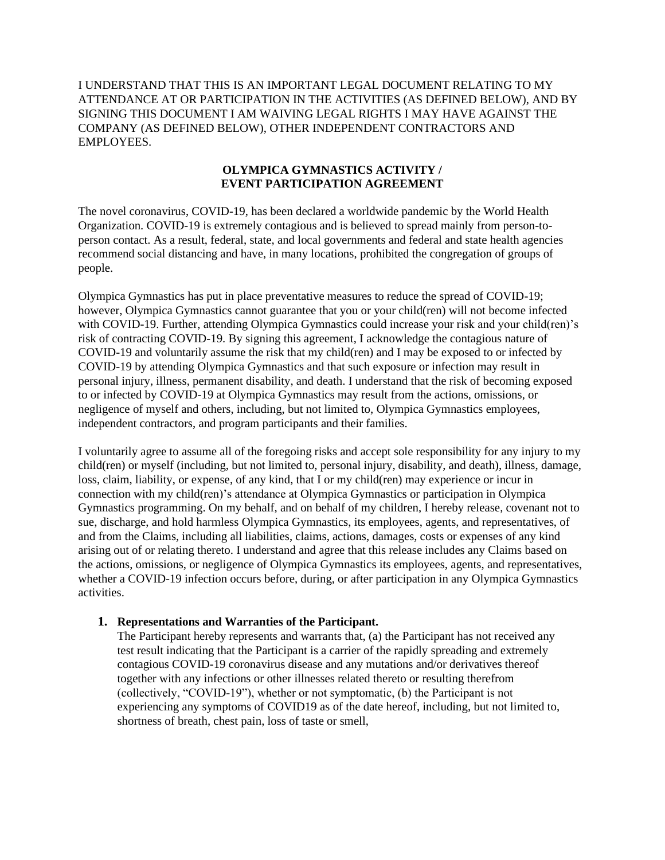I UNDERSTAND THAT THIS IS AN IMPORTANT LEGAL DOCUMENT RELATING TO MY ATTENDANCE AT OR PARTICIPATION IN THE ACTIVITIES (AS DEFINED BELOW), AND BY SIGNING THIS DOCUMENT I AM WAIVING LEGAL RIGHTS I MAY HAVE AGAINST THE COMPANY (AS DEFINED BELOW), OTHER INDEPENDENT CONTRACTORS AND EMPLOYEES.

## **OLYMPICA GYMNASTICS ACTIVITY / EVENT PARTICIPATION AGREEMENT**

The novel coronavirus, COVID-19, has been declared a worldwide pandemic by the World Health Organization. COVID-19 is extremely contagious and is believed to spread mainly from person-toperson contact. As a result, federal, state, and local governments and federal and state health agencies recommend social distancing and have, in many locations, prohibited the congregation of groups of people.

Olympica Gymnastics has put in place preventative measures to reduce the spread of COVID-19; however, Olympica Gymnastics cannot guarantee that you or your child(ren) will not become infected with COVID-19. Further, attending Olympica Gymnastics could increase your risk and your child(ren)'s risk of contracting COVID-19. By signing this agreement, I acknowledge the contagious nature of COVID-19 and voluntarily assume the risk that my child(ren) and I may be exposed to or infected by COVID-19 by attending Olympica Gymnastics and that such exposure or infection may result in personal injury, illness, permanent disability, and death. I understand that the risk of becoming exposed to or infected by COVID-19 at Olympica Gymnastics may result from the actions, omissions, or negligence of myself and others, including, but not limited to, Olympica Gymnastics employees, independent contractors, and program participants and their families.

I voluntarily agree to assume all of the foregoing risks and accept sole responsibility for any injury to my child(ren) or myself (including, but not limited to, personal injury, disability, and death), illness, damage, loss, claim, liability, or expense, of any kind, that I or my child(ren) may experience or incur in connection with my child(ren)'s attendance at Olympica Gymnastics or participation in Olympica Gymnastics programming. On my behalf, and on behalf of my children, I hereby release, covenant not to sue, discharge, and hold harmless Olympica Gymnastics, its employees, agents, and representatives, of and from the Claims, including all liabilities, claims, actions, damages, costs or expenses of any kind arising out of or relating thereto. I understand and agree that this release includes any Claims based on the actions, omissions, or negligence of Olympica Gymnastics its employees, agents, and representatives, whether a COVID-19 infection occurs before, during, or after participation in any Olympica Gymnastics activities.

## **1. Representations and Warranties of the Participant.**

The Participant hereby represents and warrants that, (a) the Participant has not received any test result indicating that the Participant is a carrier of the rapidly spreading and extremely contagious COVID-19 coronavirus disease and any mutations and/or derivatives thereof together with any infections or other illnesses related thereto or resulting therefrom (collectively, "COVID-19"), whether or not symptomatic, (b) the Participant is not experiencing any symptoms of COVID19 as of the date hereof, including, but not limited to, shortness of breath, chest pain, loss of taste or smell,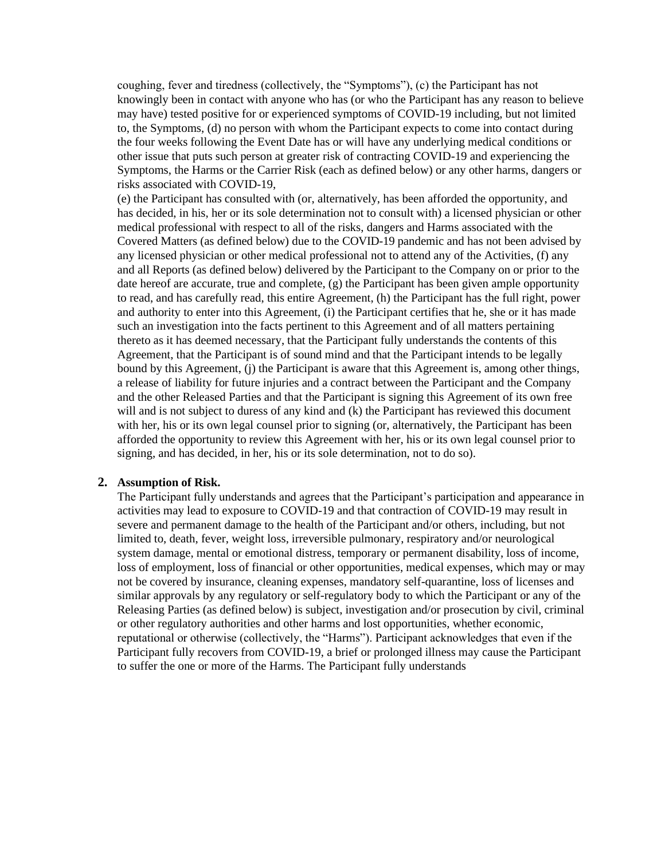coughing, fever and tiredness (collectively, the "Symptoms"), (c) the Participant has not knowingly been in contact with anyone who has (or who the Participant has any reason to believe may have) tested positive for or experienced symptoms of COVID-19 including, but not limited to, the Symptoms, (d) no person with whom the Participant expects to come into contact during the four weeks following the Event Date has or will have any underlying medical conditions or other issue that puts such person at greater risk of contracting COVID-19 and experiencing the Symptoms, the Harms or the Carrier Risk (each as defined below) or any other harms, dangers or risks associated with COVID-19,

(e) the Participant has consulted with (or, alternatively, has been afforded the opportunity, and has decided, in his, her or its sole determination not to consult with) a licensed physician or other medical professional with respect to all of the risks, dangers and Harms associated with the Covered Matters (as defined below) due to the COVID-19 pandemic and has not been advised by any licensed physician or other medical professional not to attend any of the Activities, (f) any and all Reports (as defined below) delivered by the Participant to the Company on or prior to the date hereof are accurate, true and complete, (g) the Participant has been given ample opportunity to read, and has carefully read, this entire Agreement, (h) the Participant has the full right, power and authority to enter into this Agreement, (i) the Participant certifies that he, she or it has made such an investigation into the facts pertinent to this Agreement and of all matters pertaining thereto as it has deemed necessary, that the Participant fully understands the contents of this Agreement, that the Participant is of sound mind and that the Participant intends to be legally bound by this Agreement, (j) the Participant is aware that this Agreement is, among other things, a release of liability for future injuries and a contract between the Participant and the Company and the other Released Parties and that the Participant is signing this Agreement of its own free will and is not subject to duress of any kind and (k) the Participant has reviewed this document with her, his or its own legal counsel prior to signing (or, alternatively, the Participant has been afforded the opportunity to review this Agreement with her, his or its own legal counsel prior to signing, and has decided, in her, his or its sole determination, not to do so).

## **2. Assumption of Risk.**

The Participant fully understands and agrees that the Participant's participation and appearance in activities may lead to exposure to COVID-19 and that contraction of COVID-19 may result in severe and permanent damage to the health of the Participant and/or others, including, but not limited to, death, fever, weight loss, irreversible pulmonary, respiratory and/or neurological system damage, mental or emotional distress, temporary or permanent disability, loss of income, loss of employment, loss of financial or other opportunities, medical expenses, which may or may not be covered by insurance, cleaning expenses, mandatory self-quarantine, loss of licenses and similar approvals by any regulatory or self-regulatory body to which the Participant or any of the Releasing Parties (as defined below) is subject, investigation and/or prosecution by civil, criminal or other regulatory authorities and other harms and lost opportunities, whether economic, reputational or otherwise (collectively, the "Harms"). Participant acknowledges that even if the Participant fully recovers from COVID-19, a brief or prolonged illness may cause the Participant to suffer the one or more of the Harms. The Participant fully understands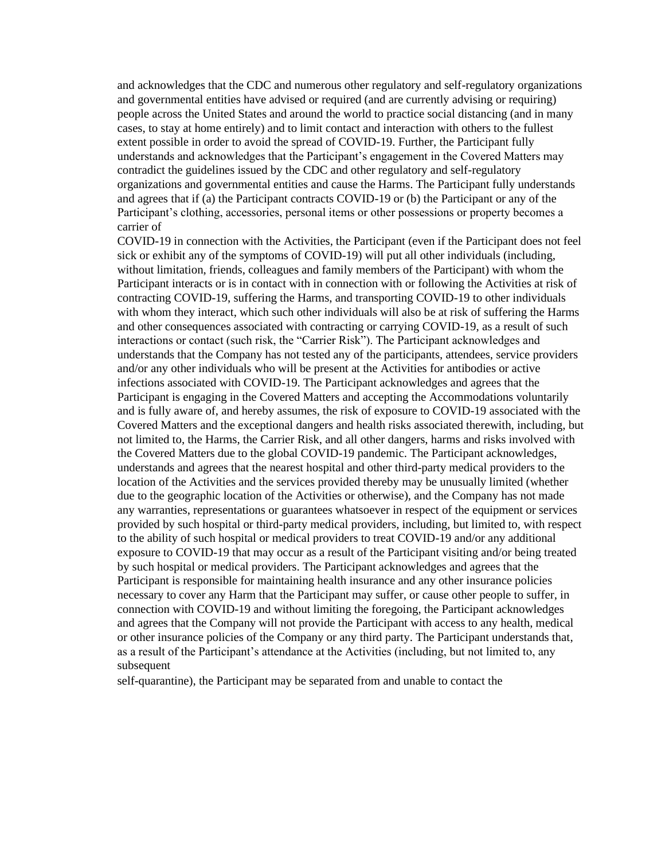and acknowledges that the CDC and numerous other regulatory and self-regulatory organizations and governmental entities have advised or required (and are currently advising or requiring) people across the United States and around the world to practice social distancing (and in many cases, to stay at home entirely) and to limit contact and interaction with others to the fullest extent possible in order to avoid the spread of COVID-19. Further, the Participant fully understands and acknowledges that the Participant's engagement in the Covered Matters may contradict the guidelines issued by the CDC and other regulatory and self-regulatory organizations and governmental entities and cause the Harms. The Participant fully understands and agrees that if (a) the Participant contracts COVID-19 or (b) the Participant or any of the Participant's clothing, accessories, personal items or other possessions or property becomes a carrier of

COVID-19 in connection with the Activities, the Participant (even if the Participant does not feel sick or exhibit any of the symptoms of COVID-19) will put all other individuals (including, without limitation, friends, colleagues and family members of the Participant) with whom the Participant interacts or is in contact with in connection with or following the Activities at risk of contracting COVID-19, suffering the Harms, and transporting COVID-19 to other individuals with whom they interact, which such other individuals will also be at risk of suffering the Harms and other consequences associated with contracting or carrying COVID-19, as a result of such interactions or contact (such risk, the "Carrier Risk"). The Participant acknowledges and understands that the Company has not tested any of the participants, attendees, service providers and/or any other individuals who will be present at the Activities for antibodies or active infections associated with COVID-19. The Participant acknowledges and agrees that the Participant is engaging in the Covered Matters and accepting the Accommodations voluntarily and is fully aware of, and hereby assumes, the risk of exposure to COVID-19 associated with the Covered Matters and the exceptional dangers and health risks associated therewith, including, but not limited to, the Harms, the Carrier Risk, and all other dangers, harms and risks involved with the Covered Matters due to the global COVID-19 pandemic. The Participant acknowledges, understands and agrees that the nearest hospital and other third-party medical providers to the location of the Activities and the services provided thereby may be unusually limited (whether due to the geographic location of the Activities or otherwise), and the Company has not made any warranties, representations or guarantees whatsoever in respect of the equipment or services provided by such hospital or third-party medical providers, including, but limited to, with respect to the ability of such hospital or medical providers to treat COVID-19 and/or any additional exposure to COVID-19 that may occur as a result of the Participant visiting and/or being treated by such hospital or medical providers. The Participant acknowledges and agrees that the Participant is responsible for maintaining health insurance and any other insurance policies necessary to cover any Harm that the Participant may suffer, or cause other people to suffer, in connection with COVID-19 and without limiting the foregoing, the Participant acknowledges and agrees that the Company will not provide the Participant with access to any health, medical or other insurance policies of the Company or any third party. The Participant understands that, as a result of the Participant's attendance at the Activities (including, but not limited to, any subsequent

self-quarantine), the Participant may be separated from and unable to contact the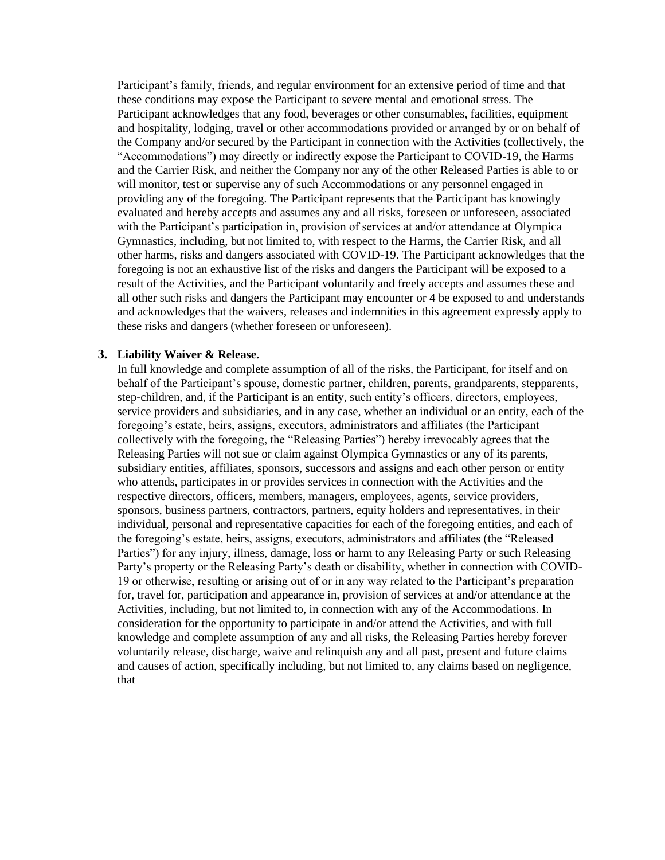Participant's family, friends, and regular environment for an extensive period of time and that these conditions may expose the Participant to severe mental and emotional stress. The Participant acknowledges that any food, beverages or other consumables, facilities, equipment and hospitality, lodging, travel or other accommodations provided or arranged by or on behalf of the Company and/or secured by the Participant in connection with the Activities (collectively, the "Accommodations") may directly or indirectly expose the Participant to COVID-19, the Harms and the Carrier Risk, and neither the Company nor any of the other Released Parties is able to or will monitor, test or supervise any of such Accommodations or any personnel engaged in providing any of the foregoing. The Participant represents that the Participant has knowingly evaluated and hereby accepts and assumes any and all risks, foreseen or unforeseen, associated with the Participant's participation in, provision of services at and/or attendance at Olympica Gymnastics, including, but not limited to, with respect to the Harms, the Carrier Risk, and all other harms, risks and dangers associated with COVID-19. The Participant acknowledges that the foregoing is not an exhaustive list of the risks and dangers the Participant will be exposed to a result of the Activities, and the Participant voluntarily and freely accepts and assumes these and all other such risks and dangers the Participant may encounter or 4 be exposed to and understands and acknowledges that the waivers, releases and indemnities in this agreement expressly apply to these risks and dangers (whether foreseen or unforeseen).

## **3. Liability Waiver & Release.**

In full knowledge and complete assumption of all of the risks, the Participant, for itself and on behalf of the Participant's spouse, domestic partner, children, parents, grandparents, stepparents, step-children, and, if the Participant is an entity, such entity's officers, directors, employees, service providers and subsidiaries, and in any case, whether an individual or an entity, each of the foregoing's estate, heirs, assigns, executors, administrators and affiliates (the Participant collectively with the foregoing, the "Releasing Parties") hereby irrevocably agrees that the Releasing Parties will not sue or claim against Olympica Gymnastics or any of its parents, subsidiary entities, affiliates, sponsors, successors and assigns and each other person or entity who attends, participates in or provides services in connection with the Activities and the respective directors, officers, members, managers, employees, agents, service providers, sponsors, business partners, contractors, partners, equity holders and representatives, in their individual, personal and representative capacities for each of the foregoing entities, and each of the foregoing's estate, heirs, assigns, executors, administrators and affiliates (the "Released Parties") for any injury, illness, damage, loss or harm to any Releasing Party or such Releasing Party's property or the Releasing Party's death or disability, whether in connection with COVID-19 or otherwise, resulting or arising out of or in any way related to the Participant's preparation for, travel for, participation and appearance in, provision of services at and/or attendance at the Activities, including, but not limited to, in connection with any of the Accommodations. In consideration for the opportunity to participate in and/or attend the Activities, and with full knowledge and complete assumption of any and all risks, the Releasing Parties hereby forever voluntarily release, discharge, waive and relinquish any and all past, present and future claims and causes of action, specifically including, but not limited to, any claims based on negligence, that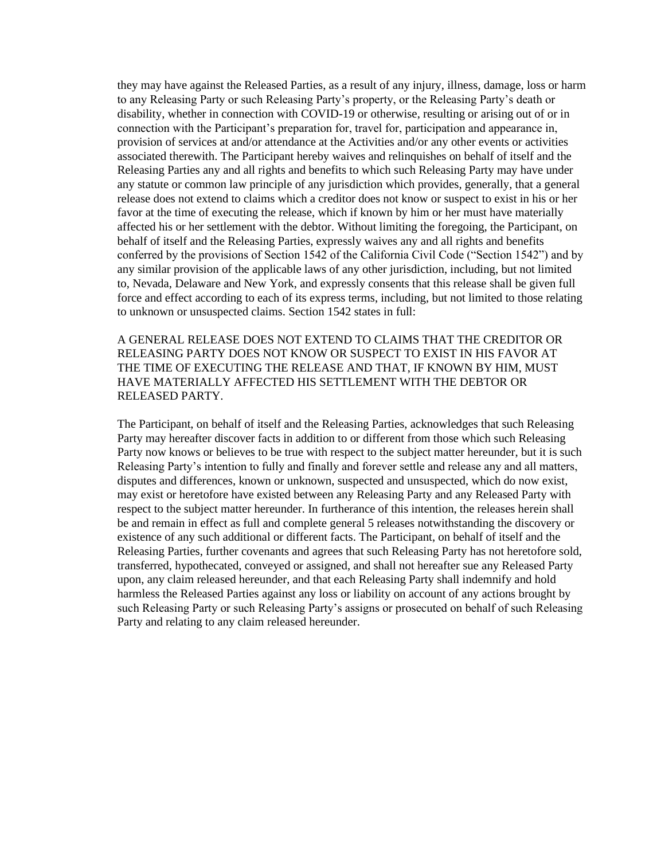they may have against the Released Parties, as a result of any injury, illness, damage, loss or harm to any Releasing Party or such Releasing Party's property, or the Releasing Party's death or disability, whether in connection with COVID-19 or otherwise, resulting or arising out of or in connection with the Participant's preparation for, travel for, participation and appearance in, provision of services at and/or attendance at the Activities and/or any other events or activities associated therewith. The Participant hereby waives and relinquishes on behalf of itself and the Releasing Parties any and all rights and benefits to which such Releasing Party may have under any statute or common law principle of any jurisdiction which provides, generally, that a general release does not extend to claims which a creditor does not know or suspect to exist in his or her favor at the time of executing the release, which if known by him or her must have materially affected his or her settlement with the debtor. Without limiting the foregoing, the Participant, on behalf of itself and the Releasing Parties, expressly waives any and all rights and benefits conferred by the provisions of Section 1542 of the California Civil Code ("Section 1542") and by any similar provision of the applicable laws of any other jurisdiction, including, but not limited to, Nevada, Delaware and New York, and expressly consents that this release shall be given full force and effect according to each of its express terms, including, but not limited to those relating to unknown or unsuspected claims. Section 1542 states in full:

A GENERAL RELEASE DOES NOT EXTEND TO CLAIMS THAT THE CREDITOR OR RELEASING PARTY DOES NOT KNOW OR SUSPECT TO EXIST IN HIS FAVOR AT THE TIME OF EXECUTING THE RELEASE AND THAT, IF KNOWN BY HIM, MUST HAVE MATERIALLY AFFECTED HIS SETTLEMENT WITH THE DEBTOR OR RELEASED PARTY.

The Participant, on behalf of itself and the Releasing Parties, acknowledges that such Releasing Party may hereafter discover facts in addition to or different from those which such Releasing Party now knows or believes to be true with respect to the subject matter hereunder, but it is such Releasing Party's intention to fully and finally and forever settle and release any and all matters, disputes and differences, known or unknown, suspected and unsuspected, which do now exist, may exist or heretofore have existed between any Releasing Party and any Released Party with respect to the subject matter hereunder. In furtherance of this intention, the releases herein shall be and remain in effect as full and complete general 5 releases notwithstanding the discovery or existence of any such additional or different facts. The Participant, on behalf of itself and the Releasing Parties, further covenants and agrees that such Releasing Party has not heretofore sold, transferred, hypothecated, conveyed or assigned, and shall not hereafter sue any Released Party upon, any claim released hereunder, and that each Releasing Party shall indemnify and hold harmless the Released Parties against any loss or liability on account of any actions brought by such Releasing Party or such Releasing Party's assigns or prosecuted on behalf of such Releasing Party and relating to any claim released hereunder.